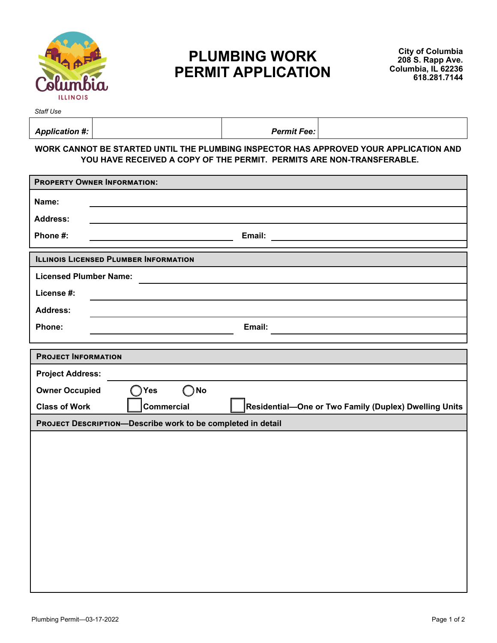

## **PLUMBING WORK PERMIT APPLICATION**

*Staff Use* 

| Application #: | <b>Permit Fee:</b> |  |
|----------------|--------------------|--|
|                |                    |  |

## **WORK CANNOT BE STARTED UNTIL THE PLUMBING INSPECTOR HAS APPROVED YOUR APPLICATION AND YOU HAVE RECEIVED A COPY OF THE PERMIT. PERMITS ARE NON-TRANSFERABLE.**

| <b>PROPERTY OWNER INFORMATION:</b>                                                                 |  |  |  |  |
|----------------------------------------------------------------------------------------------------|--|--|--|--|
| Name:                                                                                              |  |  |  |  |
| <b>Address:</b>                                                                                    |  |  |  |  |
| Phone #:<br>Email: Email: Albert March 2007                                                        |  |  |  |  |
| <b>ILLINOIS LICENSED PLUMBER INFORMATION</b>                                                       |  |  |  |  |
| <b>Licensed Plumber Name:</b>                                                                      |  |  |  |  |
| License #:                                                                                         |  |  |  |  |
| <b>Address:</b>                                                                                    |  |  |  |  |
| Phone:<br>Email:                                                                                   |  |  |  |  |
|                                                                                                    |  |  |  |  |
| <b>PROJECT INFORMATION</b>                                                                         |  |  |  |  |
| <b>Project Address:</b>                                                                            |  |  |  |  |
| $\bigcirc$ No<br><b>Owner Occupied</b><br>$\bigcap$ Yes                                            |  |  |  |  |
| <b>Commercial</b><br>Residential-One or Two Family (Duplex) Dwelling Units<br><b>Class of Work</b> |  |  |  |  |
| PROJECT DESCRIPTION-Describe work to be completed in detail                                        |  |  |  |  |
|                                                                                                    |  |  |  |  |
|                                                                                                    |  |  |  |  |
|                                                                                                    |  |  |  |  |
|                                                                                                    |  |  |  |  |
|                                                                                                    |  |  |  |  |
|                                                                                                    |  |  |  |  |
|                                                                                                    |  |  |  |  |
|                                                                                                    |  |  |  |  |
|                                                                                                    |  |  |  |  |